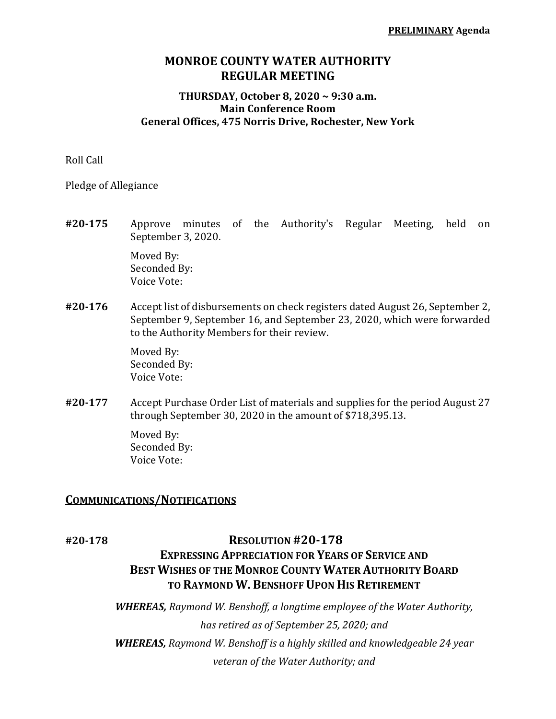# **MONROE COUNTY WATER AUTHORITY REGULAR MEETING**

### **THURSDAY, October 8, 2020 ~ 9:30 a.m. Main Conference Room General Offices, 475 Norris Drive, Rochester, New York**

Roll Call

Pledge of Allegiance

- **#20‐175** Approve minutes of the Authority's Regular Meeting, held on September 3, 2020. Moved By: Seconded By: Voice Vote:
- **#20‐176** Accept list of disbursements on check registers dated August 26, September 2, September 9, September 16, and September 23, 2020, which were forwarded to the Authority Members for their review.

 Moved By: Seconded By: Voice Vote:

**#20‐177** Accept Purchase Order List of materials and supplies for the period August 27 through September 30, 2020 in the amount of \$718,395.13.

> Moved By: Seconded By: Voice Vote:

### **COMMUNICATIONS/NOTIFICATIONS**

# **#20‐178 RESOLUTION #20‐178**

# **EXPRESSING APPRECIATION FOR YEARS OF SERVICE AND BEST WISHES OF THE MONROE COUNTY WATER AUTHORITY BOARD TO RAYMOND W. BENSHOFF UPON HIS RETIREMENT**

*WHEREAS, Raymond W. Benshoff, a longtime employee of the Water Authority, has retired as of September 25, 2020; and WHEREAS, Raymond W. Benshoff is a highly skilled and knowledgeable 24 year veteran of the Water Authority; and*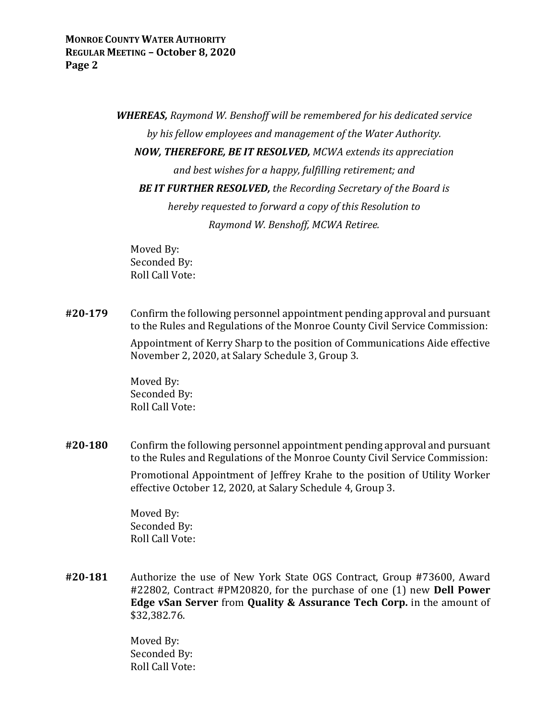*WHEREAS, Raymond W. Benshoff will be remembered for his dedicated service by his fellow employees and management of the Water Authority. NOW, THEREFORE, BE IT RESOLVED, MCWA extends its appreciation and best wishes for a happy, fulfilling retirement; and BE IT FURTHER RESOLVED, the Recording Secretary of the Board is hereby requested to forward a copy of this Resolution to Raymond W. Benshoff, MCWA Retiree.*

 Moved By: Seconded By: Roll Call Vote:

**#20‐179** Confirm the following personnel appointment pending approval and pursuant to the Rules and Regulations of the Monroe County Civil Service Commission:

> Appointment of Kerry Sharp to the position of Communications Aide effective November 2, 2020, at Salary Schedule 3, Group 3.

 Moved By: Seconded By: Roll Call Vote:

**#20‐180** Confirm the following personnel appointment pending approval and pursuant to the Rules and Regulations of the Monroe County Civil Service Commission:

> Promotional Appointment of Jeffrey Krahe to the position of Utility Worker effective October 12, 2020, at Salary Schedule 4, Group 3.

 Moved By: Seconded By: Roll Call Vote:

**#20‐181** Authorize the use of New York State OGS Contract, Group #73600, Award #22802, Contract #PM20820, for the purchase of one (1) new **Dell Power Edge vSan Server** from **Quality & Assurance Tech Corp.** in the amount of \$32,382.76.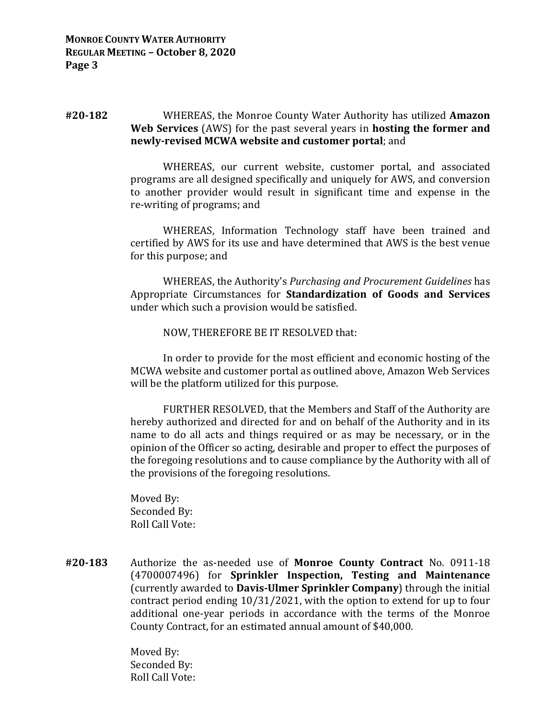### **#20‐182** WHEREAS, the Monroe County Water Authority has utilized **Amazon Web Services** (AWS) for the past several years in **hosting the former and newly‐revised MCWA website and customer portal**; and

 WHEREAS, our current website, customer portal, and associated programs are all designed specifically and uniquely for AWS, and conversion to another provider would result in significant time and expense in the re-writing of programs; and

 WHEREAS, Information Technology staff have been trained and certified by AWS for its use and have determined that AWS is the best venue for this purpose; and

 WHEREAS, the Authority's *Purchasing and Procurement Guidelines* has Appropriate Circumstances for **Standardization of Goods and Services** under which such a provision would be satisfied.

#### NOW, THEREFORE BE IT RESOLVED that:

 In order to provide for the most efficient and economic hosting of the MCWA website and customer portal as outlined above, Amazon Web Services will be the platform utilized for this purpose.

 FURTHER RESOLVED, that the Members and Staff of the Authority are hereby authorized and directed for and on behalf of the Authority and in its name to do all acts and things required or as may be necessary, or in the opinion of the Officer so acting, desirable and proper to effect the purposes of the foregoing resolutions and to cause compliance by the Authority with all of the provisions of the foregoing resolutions.

 Moved By: Seconded By: Roll Call Vote:

**#20‐183** Authorize the as-needed use of **Monroe County Contract** No. 0911-18 (4700007496) for **Sprinkler Inspection, Testing and Maintenance** (currently awarded to **Davis‐Ulmer Sprinkler Company**) through the initial contract period ending 10/31/2021, with the option to extend for up to four additional one-year periods in accordance with the terms of the Monroe County Contract, for an estimated annual amount of \$40,000.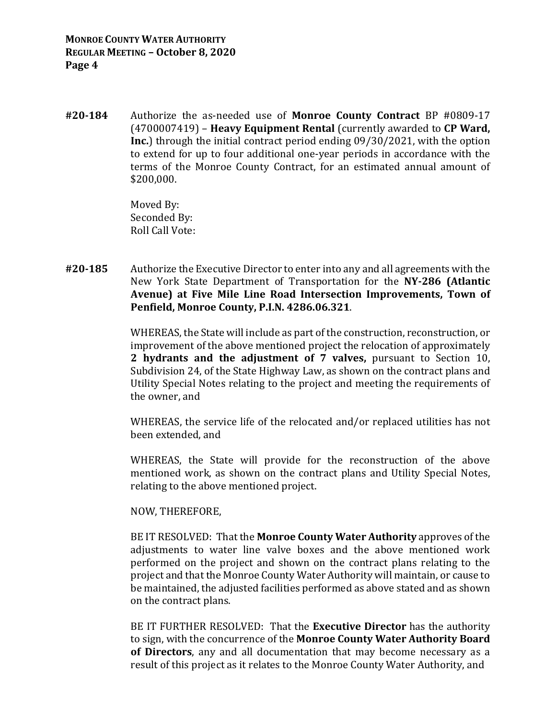**#20‐184** Authorize the as-needed use of **Monroe County Contract** BP #0809-17 (4700007419) – **Heavy Equipment Rental** (currently awarded to **CP Ward, Inc.**) through the initial contract period ending 09/30/2021, with the option to extend for up to four additional one-year periods in accordance with the terms of the Monroe County Contract, for an estimated annual amount of \$200,000.

> Moved By: Seconded By: Roll Call Vote:

**#20‐185** Authorize the Executive Director to enter into any and all agreements with the New York State Department of Transportation for the **NY‐286 (Atlantic Avenue) at Five Mile Line Road Intersection Improvements, Town of Penfield, Monroe County, P.I.N. 4286.06.321**.

> WHEREAS, the State will include as part of the construction, reconstruction, or improvement of the above mentioned project the relocation of approximately **2 hydrants and the adjustment of 7 valves,** pursuant to Section 10, Subdivision 24, of the State Highway Law, as shown on the contract plans and Utility Special Notes relating to the project and meeting the requirements of the owner, and

> WHEREAS, the service life of the relocated and/or replaced utilities has not been extended, and

> WHEREAS, the State will provide for the reconstruction of the above mentioned work, as shown on the contract plans and Utility Special Notes, relating to the above mentioned project.

### NOW, THEREFORE,

 BE IT RESOLVED: That the **Monroe County Water Authority** approves of the adjustments to water line valve boxes and the above mentioned work performed on the project and shown on the contract plans relating to the project and that the Monroe County Water Authority will maintain, or cause to be maintained, the adjusted facilities performed as above stated and as shown on the contract plans.

 BE IT FURTHER RESOLVED: That the **Executive Director** has the authority to sign, with the concurrence of the **Monroe County Water Authority Board of Directors**, any and all documentation that may become necessary as a result of this project as it relates to the Monroe County Water Authority, and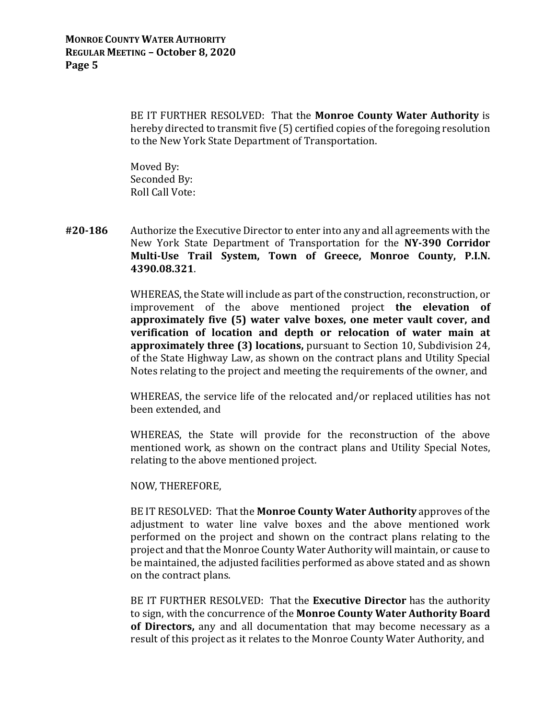BE IT FURTHER RESOLVED: That the **Monroe County Water Authority** is hereby directed to transmit five (5) certified copies of the foregoing resolution to the New York State Department of Transportation.

 Moved By: Seconded By: Roll Call Vote:

**#20‐186** Authorize the Executive Director to enter into any and all agreements with the New York State Department of Transportation for the **NY‐390 Corridor Multi‐Use Trail System, Town of Greece, Monroe County, P.I.N. 4390.08.321**.

> WHEREAS, the State will include as part of the construction, reconstruction, or improvement of the above mentioned project **the elevation of approximately five (5) water valve boxes, one meter vault cover, and verification of location and depth or relocation of water main at approximately three (3) locations,** pursuant to Section 10, Subdivision 24, of the State Highway Law, as shown on the contract plans and Utility Special Notes relating to the project and meeting the requirements of the owner, and

> WHEREAS, the service life of the relocated and/or replaced utilities has not been extended, and

> WHEREAS, the State will provide for the reconstruction of the above mentioned work, as shown on the contract plans and Utility Special Notes, relating to the above mentioned project.

### NOW, THEREFORE,

 BE IT RESOLVED: That the **Monroe County Water Authority** approves of the adjustment to water line valve boxes and the above mentioned work performed on the project and shown on the contract plans relating to the project and that the Monroe County Water Authority will maintain, or cause to be maintained, the adjusted facilities performed as above stated and as shown on the contract plans.

 BE IT FURTHER RESOLVED: That the **Executive Director** has the authority to sign, with the concurrence of the **Monroe County Water Authority Board of Directors,** any and all documentation that may become necessary as a result of this project as it relates to the Monroe County Water Authority, and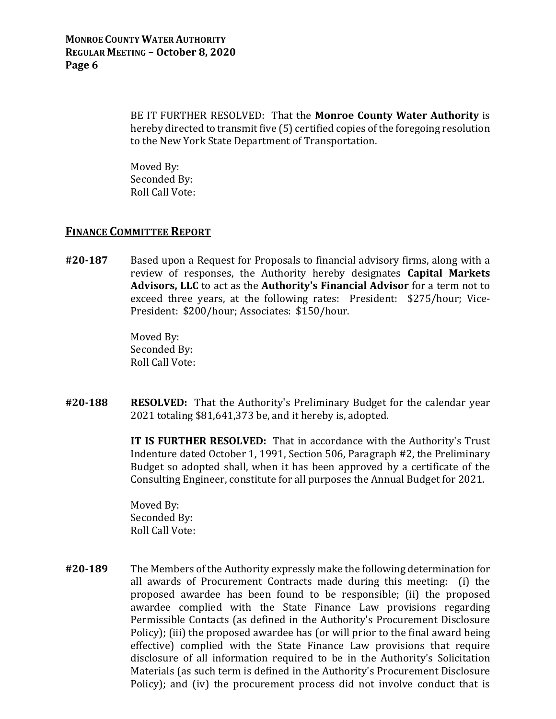BE IT FURTHER RESOLVED: That the **Monroe County Water Authority** is hereby directed to transmit five (5) certified copies of the foregoing resolution to the New York State Department of Transportation.

 Moved By: Seconded By: Roll Call Vote:

## **FINANCE COMMITTEE REPORT**

**#20‐187** Based upon a Request for Proposals to financial advisory firms, along with a review of responses, the Authority hereby designates **Capital Markets Advisors, LLC** to act as the **Authority's Financial Advisor** for a term not to exceed three years, at the following rates: President: \$275/hour; Vice-President: \$200/hour; Associates: \$150/hour.

> Moved By: Seconded By: Roll Call Vote:

**#20‐188 RESOLVED:** That the Authority's Preliminary Budget for the calendar year 2021 totaling \$81,641,373 be, and it hereby is, adopted.

> **IT IS FURTHER RESOLVED:** That in accordance with the Authority's Trust Indenture dated October 1, 1991, Section 506, Paragraph #2, the Preliminary Budget so adopted shall, when it has been approved by a certificate of the Consulting Engineer, constitute for all purposes the Annual Budget for 2021.

 Moved By: Seconded By: Roll Call Vote:

**#20‐189** The Members of the Authority expressly make the following determination for all awards of Procurement Contracts made during this meeting: (i) the proposed awardee has been found to be responsible; (ii) the proposed awardee complied with the State Finance Law provisions regarding Permissible Contacts (as defined in the Authority's Procurement Disclosure Policy); (iii) the proposed awardee has (or will prior to the final award being effective) complied with the State Finance Law provisions that require disclosure of all information required to be in the Authority's Solicitation Materials (as such term is defined in the Authority's Procurement Disclosure Policy); and (iv) the procurement process did not involve conduct that is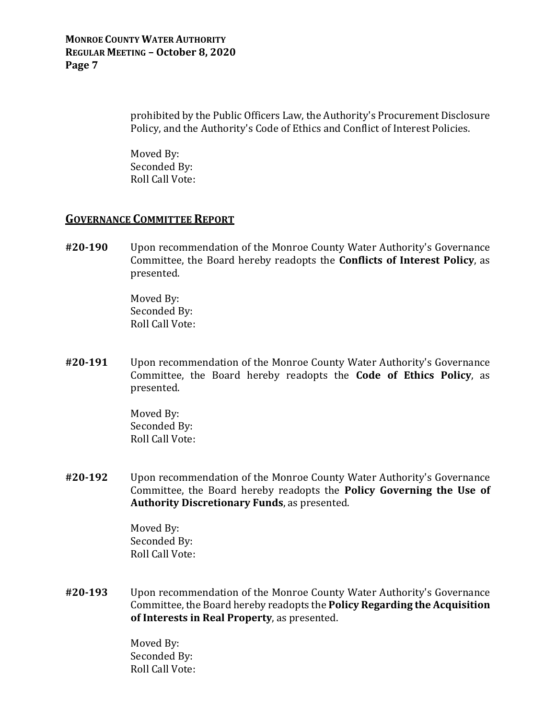### **MONROE COUNTY WATER AUTHORITY REGULAR MEETING – October 8, 2020 Page 7**

prohibited by the Public Officers Law, the Authority's Procurement Disclosure Policy, and the Authority's Code of Ethics and Conflict of Interest Policies.

 Moved By: Seconded By: Roll Call Vote:

## **GOVERNANCE COMMITTEE REPORT**

**#20‐190** Upon recommendation of the Monroe County Water Authority's Governance Committee, the Board hereby readopts the **Conflicts of Interest Policy**, as presented.

> Moved By: Seconded By: Roll Call Vote:

**#20‐191** Upon recommendation of the Monroe County Water Authority's Governance Committee, the Board hereby readopts the **Code of Ethics Policy**, as presented.

> Moved By: Seconded By: Roll Call Vote:

**#20‐192** Upon recommendation of the Monroe County Water Authority's Governance Committee, the Board hereby readopts the **Policy Governing the Use of Authority Discretionary Funds**, as presented.

> Moved By: Seconded By: Roll Call Vote:

**#20‐193** Upon recommendation of the Monroe County Water Authority's Governance Committee, the Board hereby readopts the **Policy Regarding the Acquisition of Interests in Real Property**, as presented.